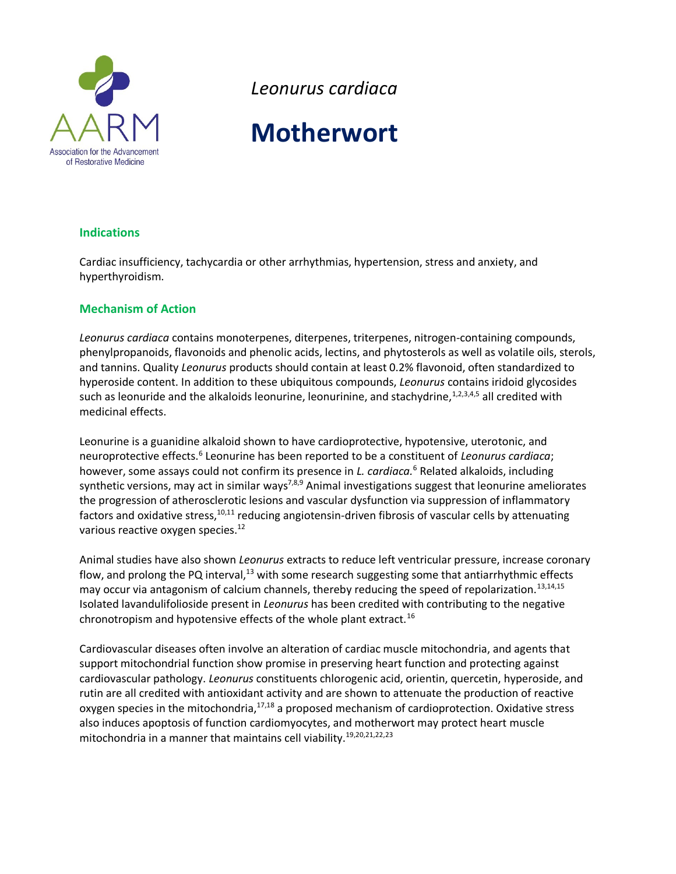

*Leonurus cardiaca*

# **Motherwort**

## **Indications**

Cardiac insufficiency, tachycardia or other arrhythmias, hypertension, stress and anxiety, and hyperthyroidism.

## **Mechanism of Action**

*Leonurus cardiaca* contains monoterpenes, diterpenes, triterpenes, nitrogen-containing compounds, phenylpropanoids, flavonoids and phenolic acids, lectins, and phytosterols as well as volatile oils, sterols, and tannins. Quality *Leonurus* products should contain at least 0.2% flavonoid, often standardized to hyperoside content. In addition to these ubiquitous compounds, *Leonurus* contains iridoid glycosides such as leonuride and the alkaloids leonurine, leonurinine, and stachydrine, 1,2,3,4,5 all credited with medicinal effects.

Leonurine is a guanidine alkaloid shown to have cardioprotective, hypotensive, uterotonic, and neuroprotective effects.<sup>6</sup> Leonurine has been reported to be a constituent of *Leonurus cardiaca*; however, some assays could not confirm its presence in *L. cardiaca.*[6](#page-2-0) Related alkaloids, including synthetic versions, may act in similar ways<sup>7,8,9</sup> Animal investigations suggest that leonurine ameliorates the progression of atherosclerotic lesions and vascular dysfunction via suppression of inflammatory factors and oxidative stress, $10,11$  reducing angiotensin-driven fibrosis of vascular cells by attenuating various reactive oxygen species.<sup>12</sup>

Animal studies have also shown *Leonurus* extracts to reduce left ventricular pressure, increase coronary flow, and prolong the PQ interval, $^{13}$  with some research suggesting some that antiarrhythmic effects may occur via antagonism of calcium channels, thereby reducing the speed of repolarization.<sup>[13,1](#page-2-1)4,15</sup> Isolated lavandulifolioside present in *Leonurus* has been credited with contributing to the negative chronotropism and hypotensive effects of the whole plant extract.<sup>16</sup>

Cardiovascular diseases often involve an alteration of cardiac muscle mitochondria, and agents that support mitochondrial function show promise in preserving heart function and protecting against cardiovascular pathology. *Leonurus* constituents chlorogenic acid, orientin, quercetin, hyperoside, and rutin are all credited with antioxidant activity and are shown to attenuate the production of reactive oxygen species in the mitochondria, $17,18$  a proposed mechanism of cardioprotection. Oxidative stress also induces apoptosis of function cardiomyocytes, and motherwort may protect heart muscle mitochondria in a manner that maintains cell viability.19,20,21,22,23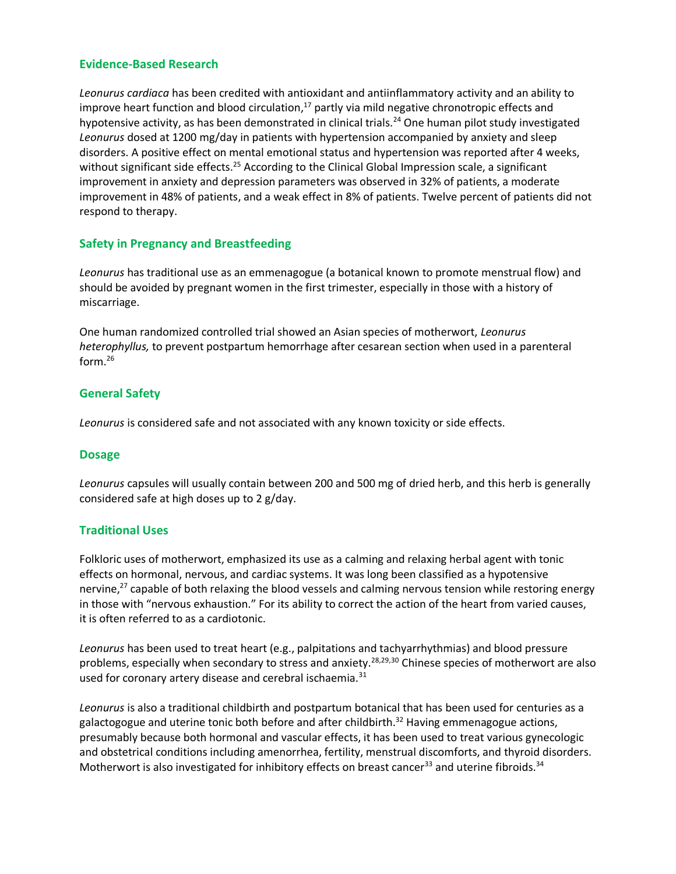# **Evidence-Based Research**

*Leonurus cardiaca* has been credited with antioxidant and antiinflammatory activity and an ability to improve heart function and blood circulation,<sup>[17](#page-2-2)</sup> partly via mild negative chronotropic effects and hypotensive activity, as has been demonstrated in clinical trials.<sup>24</sup> One human pilot study investigated *Leonurus* dosed at 1200 mg/day in patients with hypertension accompanied by anxiety and sleep disorders. A positive effect on mental emotional status and hypertension was reported after 4 weeks, without significant side effects.<sup>25</sup> According to the Clinical Global Impression scale, a significant improvement in anxiety and depression parameters was observed in 32% of patients, a moderate improvement in 48% of patients, and a weak effect in 8% of patients. Twelve percent of patients did not respond to therapy.

## **Safety in Pregnancy and Breastfeeding**

*Leonurus* has traditional use as an emmenagogue (a botanical known to promote menstrual flow) and should be avoided by pregnant women in the first trimester, especially in those with a history of miscarriage.

One human randomized controlled trial showed an Asian species of motherwort, *Leonurus heterophyllus,* to prevent postpartum hemorrhage after cesarean section when used in a parenteral form. $^{26}$ 

## **General Safety**

*Leonurus* is considered safe and not associated with any known toxicity or side effects.

#### **Dosage**

*Leonurus* capsules will usually contain between 200 and 500 mg of dried herb, and this herb is generally considered safe at high doses up to 2 g/day.

#### **Traditional Uses**

Folkloric uses of motherwort, emphasized its use as a calming and relaxing herbal agent with tonic effects on hormonal, nervous, and cardiac systems. It was long been classified as a hypotensive nervine, $2^7$  capable of both relaxing the blood vessels and calming nervous tension while restoring energy in those with "nervous exhaustion." For its ability to correct the action of the heart from varied causes, it is often referred to as a cardiotonic.

*Leonurus* has been used to treat heart (e.g., palpitations and tachyarrhythmias) and blood pressure problems, especially when secondary to stress and anxiety.<sup>28,29,30</sup> Chinese species of motherwort are also used for coronary artery disease and cerebral ischaemia.<sup>31</sup>

*Leonurus* is also a traditional childbirth and postpartum botanical that has been used for centuries as a galactogogue and uterine tonic both before and after childbirth.<sup>32</sup> Having emmenagogue actions, presumably because both hormonal and vascular effects, it has been used to treat various gynecologic and obstetrical conditions including amenorrhea, fertility, menstrual discomforts, and thyroid disorders. Motherwort is also investigated for inhibitory effects on breast cancer<sup>33</sup> and uterine fibroids.<sup>34</sup>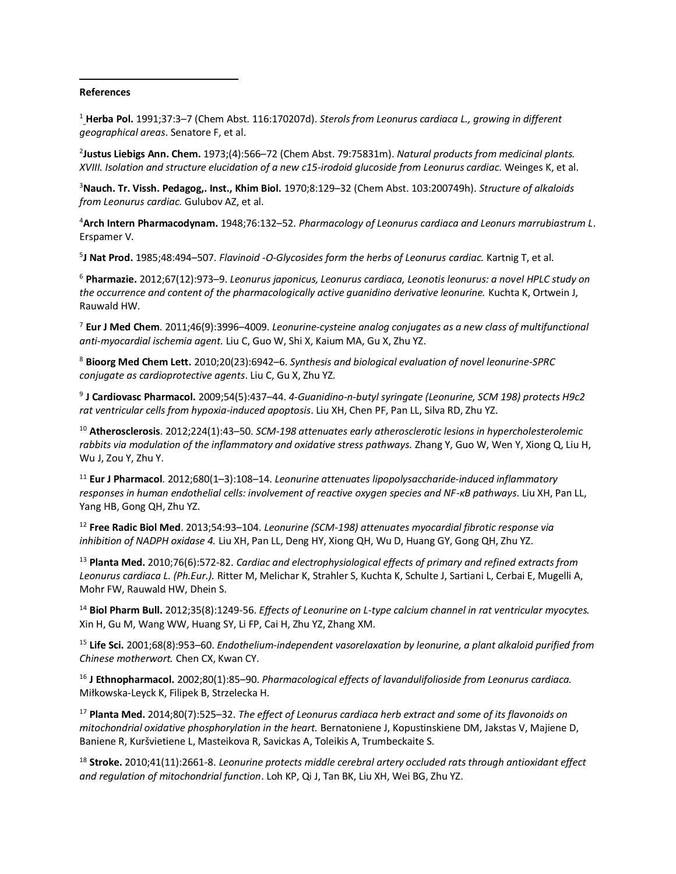#### **References**

 $\overline{\phantom{a}}$ 

<sup>1</sup> **Herba Pol.** 1991;37:3–7 (Chem Abst. 116:170207d). *Sterols from Leonurus cardiaca L., growing in different geographical areas*. Senatore F, et al.

2 **Justus Liebigs Ann. Chem.** 1973;(4):566–72 (Chem Abst. 79:75831m). *Natural products from medicinal plants. XVIII. Isolation and structure elucidation of a new c15-irodoid glucoside from Leonurus cardiac*. Weinges K, et al.

<sup>3</sup>**Nauch. Tr. Vissh. Pedagog,. Inst., Khim Biol.** 1970;8:129–32 (Chem Abst. 103:200749h). *Structure of alkaloids from Leonurus cardiac.* Gulubov AZ, et al.

<sup>4</sup>**Arch Intern Pharmacodynam.** 1948;76:132–52. *Pharmacology of Leonurus cardiaca and Leonurs marrubiastrum L*. Erspamer V.

5 **J Nat Prod.** 1985;48:494–507. *Flavinoid -O-Glycosides form the herbs of Leonurus cardiac.* Kartnig T, et al.

<span id="page-2-0"></span><sup>6</sup> **Pharmazie.** 2012;67(12):973–9. *Leonurus japonicus, Leonurus cardiaca, Leonotis leonurus: a novel HPLC study on the occurrence and content of the pharmacologically active guanidino derivative leonurine.* Kuchta K, Ortwein J, Rauwald HW.

<sup>7</sup> **Eur J Med Chem**. 2011;46(9):3996–4009. *Leonurine-cysteine analog conjugates as a new class of multifunctional anti-myocardial ischemia agent.* Liu C, Guo W, Shi X, Kaium MA, Gu X, Zhu YZ.

<sup>8</sup> **Bioorg Med Chem Lett.** 2010;20(23):6942–6. *Synthesis and biological evaluation of novel leonurine-SPRC conjugate as cardioprotective agents*. Liu C, Gu X, Zhu YZ.

9 **J Cardiovasc Pharmacol.** 2009;54(5):437–44. *4-Guanidino-n-butyl syringate (Leonurine, SCM 198) protects H9c2 rat ventricular cells from hypoxia-induced apoptosis*. Liu XH, Chen PF, Pan LL, Silva RD, Zhu YZ.

<sup>10</sup> **Atherosclerosis**. 2012;224(1):43–50. *SCM-198 attenuates early atherosclerotic lesions in hypercholesterolemic rabbits via modulation of the inflammatory and oxidative stress pathways.* Zhang Y, Guo W, Wen Y, Xiong Q, Liu H, Wu J, Zou Y, Zhu Y.

<sup>11</sup> **Eur J Pharmacol**. 2012;680(1–3):108–14. *Leonurine attenuates lipopolysaccharide-induced inflammatory responses in human endothelial cells: involvement of reactive oxygen species and NF-κB pathways*. Liu XH, Pan LL, Yang HB, Gong QH, Zhu YZ.

<sup>12</sup> **Free Radic Biol Med**. 2013;54:93–104. *Leonurine (SCM-198) attenuates myocardial fibrotic response via inhibition of NADPH oxidase 4.* Liu XH, Pan LL, Deng HY, Xiong QH, Wu D, Huang GY, Gong QH, Zhu YZ.

<span id="page-2-1"></span><sup>13</sup> **Planta Med.** 2010;76(6):572-82. *Cardiac and electrophysiological effects of primary and refined extracts from Leonurus cardiaca L. (Ph.Eur.).* Ritter M, Melichar K, Strahler S, Kuchta K, Schulte J, Sartiani L, Cerbai E, Mugelli A, Mohr FW, Rauwald HW, Dhein S.

<sup>14</sup> **Biol Pharm Bull.** 2012;35(8):1249-56. *Effects of Leonurine on L-type calcium channel in rat ventricular myocytes.* Xin H, Gu M, Wang WW, Huang SY, Li FP, Cai H, Zhu YZ, Zhang XM.

<sup>15</sup> **Life Sci.** 2001;68(8):953–60. *Endothelium-independent vasorelaxation by leonurine, a plant alkaloid purified from Chinese motherwort.* Chen CX, Kwan CY.

<sup>16</sup> **J Ethnopharmacol.** 2002;80(1):85–90. *Pharmacological effects of lavandulifolioside from Leonurus cardiaca.* Miłkowska-Leyck K, Filipek B, Strzelecka H.

<span id="page-2-2"></span><sup>17</sup> **Planta Med.** 2014;80(7):525–32. *The effect of Leonurus cardiaca herb extract and some of its flavonoids on mitochondrial oxidative phosphorylation in the heart.* Bernatoniene J, Kopustinskiene DM, Jakstas V, Majiene D, Baniene R, Kuršvietiene L, Masteikova R, Savickas A, Toleikis A, Trumbeckaite S.

<sup>18</sup> **Stroke.** 2010;41(11):2661-8. *Leonurine protects middle cerebral artery occluded rats through antioxidant effect and regulation of mitochondrial function*. Loh KP, Qi J, Tan BK, Liu XH, Wei BG, Zhu YZ.